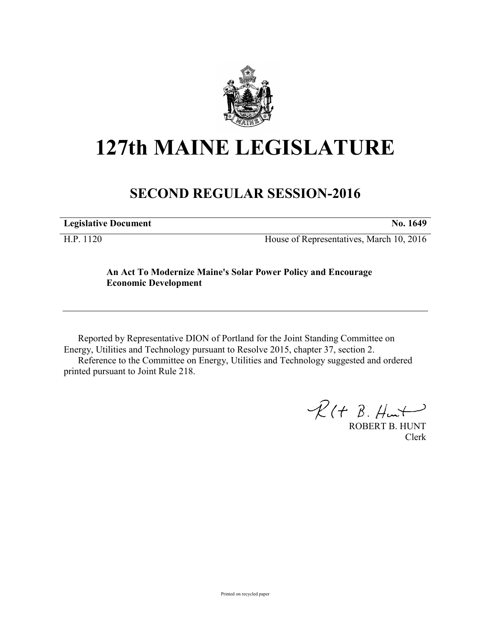

# **127th MAINE LEGISLATURE**

# **SECOND REGULAR SESSION-2016**

H.P. 1120 House of Representatives, March 10, 2016

## **An Act To Modernize Maine's Solar Power Policy and Encourage Economic Development**

Reported by Representative DION of Portland for the Joint Standing Committee on Energy, Utilities and Technology pursuant to Resolve 2015, chapter 37, section 2. Reference to the Committee on Energy, Utilities and Technology suggested and ordered printed pursuant to Joint Rule 218.

 $R(H B. H<sub>ur</sub>)$ 

ROBERT B. HUNT Clerk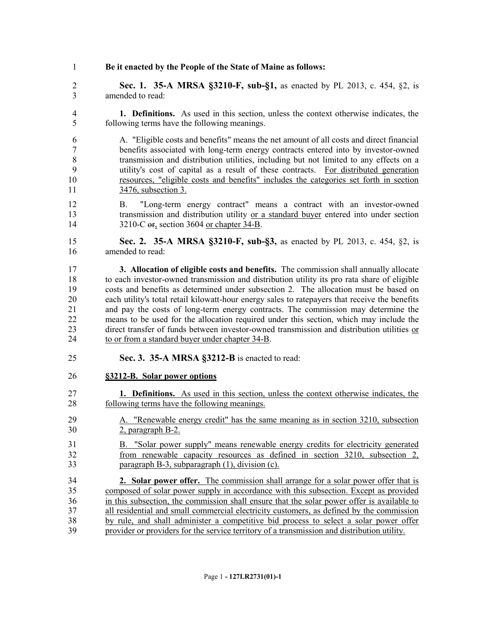- **Be it enacted by the People of the State of Maine as follows:**
- **Sec. 1. 35-A MRSA §3210-F, sub-§1,** as enacted by PL 2013, c. 454, §2, is amended to read:
- **1. Definitions.** As used in this section, unless the context otherwise indicates, the following terms have the following meanings.
- A. "Eligible costs and benefits" means the net amount of all costs and direct financial benefits associated with long-term energy contracts entered into by investor-owned transmission and distribution utilities, including but not limited to any effects on a utility's cost of capital as a result of these contracts. For distributed generation resources, "eligible costs and benefits" includes the categories set forth in section 3476, subsection 3.
- B. "Long-term energy contract" means a contract with an investor-owned 13 transmission and distribution utility or a standard buyer entered into under section 14 3210-C or, section 3604 or chapter 34-B.
- **Sec. 2. 35-A MRSA §3210-F, sub-§3,** as enacted by PL 2013, c. 454, §2, is amended to read:
- **3. Allocation of eligible costs and benefits.** The commission shall annually allocate to each investor-owned transmission and distribution utility its pro rata share of eligible costs and benefits as determined under subsection 2. The allocation must be based on each utility's total retail kilowatt-hour energy sales to ratepayers that receive the benefits and pay the costs of long-term energy contracts. The commission may determine the means to be used for the allocation required under this section, which may include the direct transfer of funds between investor-owned transmission and distribution utilities or 24 to or from a standard buyer under chapter 34-B.
- **Sec. 3. 35-A MRSA §3212-B** is enacted to read:
- **§3212-B. Solar power options**
- **1. Definitions.** As used in this section, unless the context otherwise indicates, the following terms have the following meanings.
- A. "Renewable energy credit" has the same meaning as in section 3210, subsection 2, paragraph B-2.
- B. "Solar power supply" means renewable energy credits for electricity generated from renewable capacity resources as defined in section 3210, subsection 2, paragraph B-3, subparagraph (1), division (c).
- **2. Solar power offer.** The commission shall arrange for a solar power offer that is composed of solar power supply in accordance with this subsection. Except as provided in this subsection, the commission shall ensure that the solar power offer is available to all residential and small commercial electricity customers, as defined by the commission by rule, and shall administer a competitive bid process to select a solar power offer provider or providers for the service territory of a transmission and distribution utility.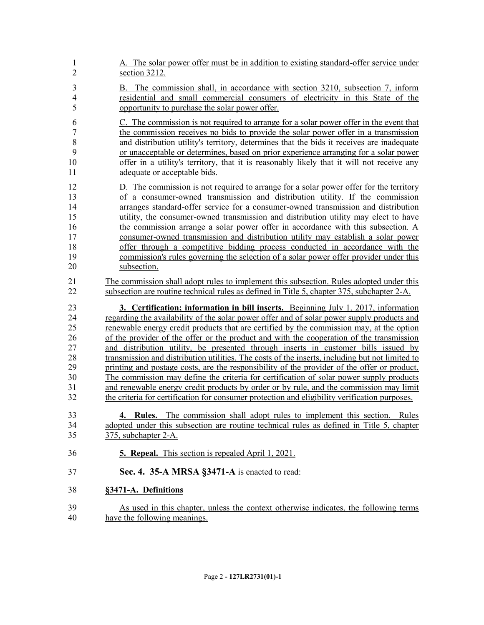| $\mathbf{1}$   | A. The solar power offer must be in addition to existing standard-offer service under                                                                                                                           |
|----------------|-----------------------------------------------------------------------------------------------------------------------------------------------------------------------------------------------------------------|
| $\overline{c}$ | section 3212.                                                                                                                                                                                                   |
| $\overline{3}$ | B. The commission shall, in accordance with section 3210, subsection 7, inform                                                                                                                                  |
| $\overline{4}$ | residential and small commercial consumers of electricity in this State of the                                                                                                                                  |
| 5              | opportunity to purchase the solar power offer.                                                                                                                                                                  |
| 6              | C. The commission is not required to arrange for a solar power offer in the event that                                                                                                                          |
| 7              | the commission receives no bids to provide the solar power offer in a transmission                                                                                                                              |
| 8              | and distribution utility's territory, determines that the bids it receives are inadequate                                                                                                                       |
| 9              | or unacceptable or determines, based on prior experience arranging for a solar power                                                                                                                            |
| 10             | offer in a utility's territory, that it is reasonably likely that it will not receive any                                                                                                                       |
| 11             | adequate or acceptable bids.                                                                                                                                                                                    |
| 12             | D. The commission is not required to arrange for a solar power offer for the territory                                                                                                                          |
| 13             | of a consumer-owned transmission and distribution utility. If the commission                                                                                                                                    |
| 14             | arranges standard-offer service for a consumer-owned transmission and distribution                                                                                                                              |
| 15             | utility, the consumer-owned transmission and distribution utility may elect to have                                                                                                                             |
| 16             | the commission arrange a solar power offer in accordance with this subsection. A                                                                                                                                |
| 17             | consumer-owned transmission and distribution utility may establish a solar power                                                                                                                                |
| 18             | offer through a competitive bidding process conducted in accordance with the                                                                                                                                    |
| 19             | commission's rules governing the selection of a solar power offer provider under this                                                                                                                           |
| 20             | subsection.                                                                                                                                                                                                     |
| 21             | The commission shall adopt rules to implement this subsection. Rules adopted under this                                                                                                                         |
| 22             | subsection are routine technical rules as defined in Title 5, chapter 375, subchapter 2-A.                                                                                                                      |
| 23             | 3. Certification; information in bill inserts. Beginning July 1, 2017, information                                                                                                                              |
| 24             | regarding the availability of the solar power offer and of solar power supply products and                                                                                                                      |
| 25             | represented that the commission may, at the option                                                                                                                                                              |
| 26             | of the provider of the offer or the product and with the cooperation of the transmission                                                                                                                        |
| 27             | and distribution utility, be presented through inserts in customer bills issued by                                                                                                                              |
| 28             | transmission and distribution utilities. The costs of the inserts, including but not limited to                                                                                                                 |
| 29             | printing and postage costs, are the responsibility of the provider of the offer or product.                                                                                                                     |
| 30             | The commission may define the criteria for certification of solar power supply products                                                                                                                         |
| 31             | and renewable energy credit products by order or by rule, and the commission may limit                                                                                                                          |
| 32             | the criteria for certification for consumer protection and eligibility verification purposes.                                                                                                                   |
| 33<br>34<br>35 | The commission shall adopt rules to implement this section.<br>4.<br>Rules.<br><u>Rules</u><br>adopted under this subsection are routine technical rules as defined in Title 5, chapter<br>375, subchapter 2-A. |
| 36             | <b>5. Repeal.</b> This section is repealed April 1, 2021.                                                                                                                                                       |
| 37             | Sec. 4. 35-A MRSA §3471-A is enacted to read:                                                                                                                                                                   |
| 38             | §3471-A. Definitions                                                                                                                                                                                            |
| 39             | As used in this chapter, unless the context otherwise indicates, the following terms                                                                                                                            |
| 40             | have the following meanings.                                                                                                                                                                                    |
|                |                                                                                                                                                                                                                 |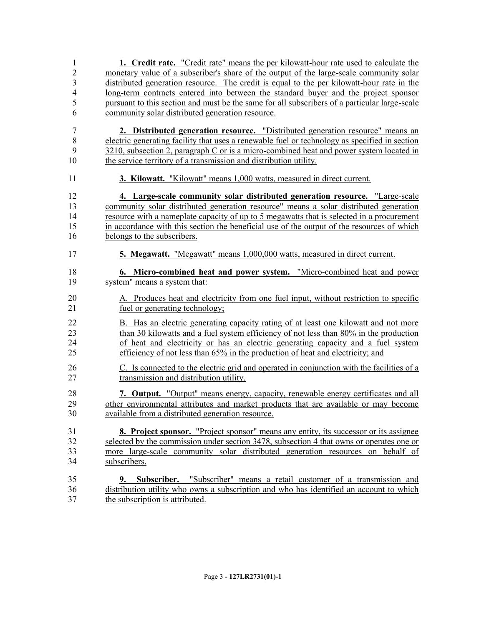| 1              | <b>1.</b> Credit rate. "Credit rate" means the per kilowatt-hour rate used to calculate the   |
|----------------|-----------------------------------------------------------------------------------------------|
| $\overline{2}$ | monetary value of a subscriber's share of the output of the large-scale community solar       |
| 3              | distributed generation resource. The credit is equal to the per kilowatt-hour rate in the     |
| $\overline{4}$ | <u>long-term contracts entered into between the standard buyer and the project sponsor</u>    |
| 5              | pursuant to this section and must be the same for all subscribers of a particular large-scale |
| 6              | community solar distributed generation resource.                                              |
| 7              | 2. Distributed generation resource. "Distributed generation resource" means an                |
| $\,$ 8 $\,$    | electric generating facility that uses a renewable fuel or technology as specified in section |
| 9              | 3210, subsection 2, paragraph C or is a micro-combined heat and power system located in       |
| 10             | the service territory of a transmission and distribution utility.                             |
| 11             | 3. Kilowatt. "Kilowatt" means 1,000 watts, measured in direct current.                        |
| 12             | 4. Large-scale community solar distributed generation resource. "Large-scale"                 |
| 13             | community solar distributed generation resource" means a solar distributed generation         |
| 14             | resource with a nameplate capacity of up to 5 megawatts that is selected in a procurement     |
| 15             | in accordance with this section the beneficial use of the output of the resources of which    |
| 16             | belongs to the subscribers.                                                                   |
| 17             | 5. Megawatt. "Megawatt" means 1,000,000 watts, measured in direct current.                    |
| 18             | 6. Micro-combined heat and power system. "Micro-combined heat and power                       |
| 19             | system" means a system that:                                                                  |
| 20             | A. Produces heat and electricity from one fuel input, without restriction to specific         |
| 21             | <u>fuel or generating technology;</u>                                                         |
| 22             | B. Has an electric generating capacity rating of at least one kilowatt and not more           |
| 23             | than 30 kilowatts and a fuel system efficiency of not less than 80% in the production         |
| 24             | of heat and electricity or has an electric generating capacity and a fuel system              |
| 25             | efficiency of not less than 65% in the production of heat and electricity; and                |
| 26             | C. Is connected to the electric grid and operated in conjunction with the facilities of a     |
| 27             | transmission and distribution utility.                                                        |
| 28             | 7. Output. "Output" means energy, capacity, renewable energy certificates and all             |
| 29             | other environmental attributes and market products that are available or may become           |
| 30             | available from a distributed generation resource.                                             |
| 31             | 8. Project sponsor. "Project sponsor" means any entity, its successor or its assignee         |
| 32             | selected by the commission under section 3478, subsection 4 that owns or operates one or      |
| 33             | more large-scale community solar distributed generation resources on behalf of                |
| 34             | subscribers.                                                                                  |
| 35             | <b>9.</b> Subscriber. "Subscriber" means a retail customer of a transmission and              |
| 36             | distribution utility who owns a subscription and who has identified an account to which       |
| 37             | the subscription is attributed.                                                               |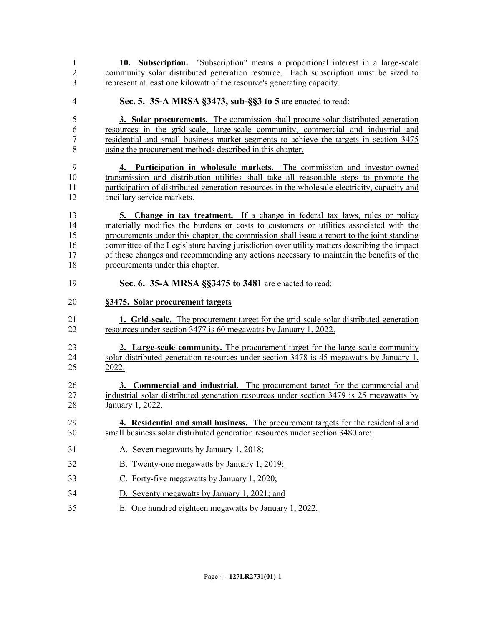| $\mathbf{1}$   | 10. Subscription. "Subscription" means a proportional interest in a large-scale              |
|----------------|----------------------------------------------------------------------------------------------|
| $\overline{2}$ | community solar distributed generation resource. Each subscription must be sized to          |
| 3              | represent at least one kilowatt of the resource's generating capacity.                       |
| $\overline{4}$ | Sec. 5. 35-A MRSA §3473, sub-§§3 to 5 are enacted to read:                                   |
| 5              | 3. Solar procurements. The commission shall procure solar distributed generation             |
| 6              | resources in the grid-scale, large-scale community, commercial and industrial and            |
| 7              | residential and small business market segments to achieve the targets in section 3475        |
| 8              | using the procurement methods described in this chapter.                                     |
| 9              | 4. Participation in wholesale markets. The commission and investor-owned                     |
| 10             | transmission and distribution utilities shall take all reasonable steps to promote the       |
| 11             | participation of distributed generation resources in the wholesale electricity, capacity and |
| 12             | ancillary service markets.                                                                   |
| 13             | 5. Change in tax treatment. If a change in federal tax laws, rules or policy                 |
| 14             | materially modifies the burdens or costs to customers or utilities associated with the       |
| 15             | procurements under this chapter, the commission shall issue a report to the joint standing   |
| 16             | committee of the Legislature having jurisdiction over utility matters describing the impact  |
| 17             | of these changes and recommending any actions necessary to maintain the benefits of the      |
| 18             | procurements under this chapter.                                                             |
| 19             | Sec. 6. 35-A MRSA §§3475 to 3481 are enacted to read:                                        |
| 20             | §3475. Solar procurement targets                                                             |
| 21             | <b>1.</b> Grid-scale. The procurement target for the grid-scale solar distributed generation |
| 22             | resources under section 3477 is 60 megawatts by January 1, 2022.                             |
| 23             | 2. Large-scale community. The procurement target for the large-scale community               |
| 24             | solar distributed generation resources under section 3478 is 45 megawatts by January 1,      |
| 25             | 2022.                                                                                        |
| 26             | 3. Commercial and industrial. The procurement target for the commercial and                  |
| 27             | industrial solar distributed generation resources under section 3479 is 25 megawatts by      |
| 28             | January 1, 2022.                                                                             |
| 29             | 4. Residential and small business. The procurement targets for the residential and           |
| 30             | small business solar distributed generation resources under section 3480 are:                |
| 31             | A. Seven megawatts by January 1, 2018;                                                       |
| 32             | B. Twenty-one megawatts by January 1, 2019;                                                  |
| 33             | C. Forty-five megawatts by January 1, 2020;                                                  |
| 34             | D. Seventy megawatts by January 1, 2021; and                                                 |
| 35             | E. One hundred eighteen megawatts by January 1, 2022.                                        |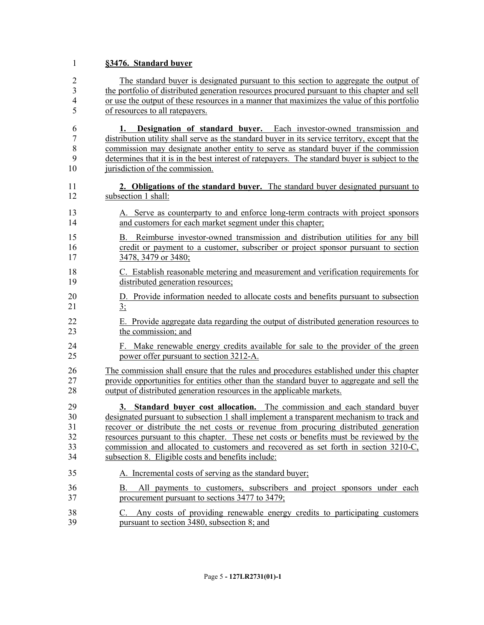# **§3476. Standard buyer**

| $\overline{2}$                      | The standard buyer is designated pursuant to this section to aggregate the output of                                                                                                                                                                                                                                                                                                                                                          |
|-------------------------------------|-----------------------------------------------------------------------------------------------------------------------------------------------------------------------------------------------------------------------------------------------------------------------------------------------------------------------------------------------------------------------------------------------------------------------------------------------|
| $\overline{3}$                      | the portfolio of distributed generation resources procured pursuant to this chapter and sell                                                                                                                                                                                                                                                                                                                                                  |
| $\overline{4}$                      | or use the output of these resources in a manner that maximizes the value of this portfolio                                                                                                                                                                                                                                                                                                                                                   |
| 5<br>6<br>7<br>$\,$ $\,$<br>9<br>10 | of resources to all ratepayers.<br>Designation of standard buyer. Each investor-owned transmission and<br>1.<br>distribution utility shall serve as the standard buyer in its service territory, except that the<br>commission may designate another entity to serve as standard buyer if the commission<br>determines that it is in the best interest of ratepayers. The standard buyer is subject to the<br>jurisdiction of the commission. |
| 11                                  | 2. Obligations of the standard buyer. The standard buyer designated pursuant to                                                                                                                                                                                                                                                                                                                                                               |
| 12                                  | subsection 1 shall:                                                                                                                                                                                                                                                                                                                                                                                                                           |
| 13                                  | A. Serve as counterparty to and enforce long-term contracts with project sponsors                                                                                                                                                                                                                                                                                                                                                             |
| 14                                  | and customers for each market segment under this chapter;                                                                                                                                                                                                                                                                                                                                                                                     |
| 15                                  | B. Reimburse investor-owned transmission and distribution utilities for any bill                                                                                                                                                                                                                                                                                                                                                              |
| 16                                  | credit or payment to a customer, subscriber or project sponsor pursuant to section                                                                                                                                                                                                                                                                                                                                                            |
| 17                                  | 3478, 3479 or 3480;                                                                                                                                                                                                                                                                                                                                                                                                                           |
| 18                                  | C. Establish reasonable metering and measurement and verification requirements for                                                                                                                                                                                                                                                                                                                                                            |
| 19                                  | distributed generation resources;                                                                                                                                                                                                                                                                                                                                                                                                             |
| 20                                  | D. Provide information needed to allocate costs and benefits pursuant to subsection                                                                                                                                                                                                                                                                                                                                                           |
| 21                                  | 3:                                                                                                                                                                                                                                                                                                                                                                                                                                            |
| 22                                  | E. Provide aggregate data regarding the output of distributed generation resources to                                                                                                                                                                                                                                                                                                                                                         |
| 23                                  | the commission; and                                                                                                                                                                                                                                                                                                                                                                                                                           |
| 24                                  | F. Make renewable energy credits available for sale to the provider of the green                                                                                                                                                                                                                                                                                                                                                              |
| 25                                  | power offer pursuant to section 3212-A.                                                                                                                                                                                                                                                                                                                                                                                                       |
| 26                                  | The commission shall ensure that the rules and procedures established under this chapter                                                                                                                                                                                                                                                                                                                                                      |
| 27                                  | provide opportunities for entities other than the standard buyer to aggregate and sell the                                                                                                                                                                                                                                                                                                                                                    |
| 28                                  | output of distributed generation resources in the applicable markets.                                                                                                                                                                                                                                                                                                                                                                         |
| 29                                  | 3. Standard buyer cost allocation. The commission and each standard buyer                                                                                                                                                                                                                                                                                                                                                                     |
| 30                                  | designated pursuant to subsection 1 shall implement a transparent mechanism to track and                                                                                                                                                                                                                                                                                                                                                      |
| 31                                  | recover or distribute the net costs or revenue from procuring distributed generation                                                                                                                                                                                                                                                                                                                                                          |
| 32                                  | resources pursuant to this chapter. These net costs or benefits must be reviewed by the                                                                                                                                                                                                                                                                                                                                                       |
| 33                                  | commission and allocated to customers and recovered as set forth in section 3210-C,                                                                                                                                                                                                                                                                                                                                                           |
| 34                                  | subsection 8. Eligible costs and benefits include:                                                                                                                                                                                                                                                                                                                                                                                            |
| 35                                  | A. Incremental costs of serving as the standard buyer;                                                                                                                                                                                                                                                                                                                                                                                        |
| 36<br>37                            | All payments to customers, subscribers and project sponsors under each<br>Β.<br>procurement pursuant to sections 3477 to 3479;                                                                                                                                                                                                                                                                                                                |
| 38<br>39                            | Any costs of providing renewable energy credits to participating customers<br>C.<br>pursuant to section 3480, subsection 8; and                                                                                                                                                                                                                                                                                                               |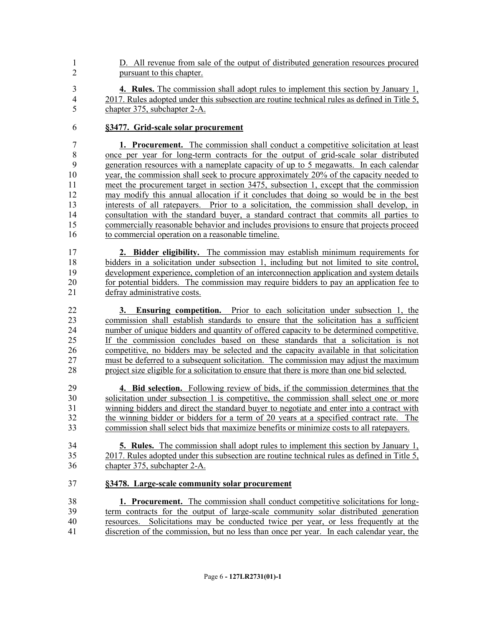- D. All revenue from sale of the output of distributed generation resources procured pursuant to this chapter.
- **4. Rules.** The commission shall adopt rules to implement this section by January 1, 2017. Rules adopted under this subsection are routine technical rules as defined in Title 5, chapter 375, subchapter 2-A.

### **§3477. Grid-scale solar procurement**

 **1. Procurement.** The commission shall conduct a competitive solicitation at least once per year for long-term contracts for the output of grid-scale solar distributed generation resources with a nameplate capacity of up to 5 megawatts. In each calendar year, the commission shall seek to procure approximately 20% of the capacity needed to meet the procurement target in section 3475, subsection 1, except that the commission may modify this annual allocation if it concludes that doing so would be in the best interests of all ratepayers. Prior to a solicitation, the commission shall develop, in consultation with the standard buyer, a standard contract that commits all parties to commercially reasonable behavior and includes provisions to ensure that projects proceed 16 to commercial operation on a reasonable timeline.

 **2. Bidder eligibility.** The commission may establish minimum requirements for bidders in a solicitation under subsection 1, including but not limited to site control, development experience, completion of an interconnection application and system details for potential bidders. The commission may require bidders to pay an application fee to defray administrative costs.

 **3. Ensuring competition.** Prior to each solicitation under subsection 1, the commission shall establish standards to ensure that the solicitation has a sufficient number of unique bidders and quantity of offered capacity to be determined competitive. If the commission concludes based on these standards that a solicitation is not competitive, no bidders may be selected and the capacity available in that solicitation must be deferred to a subsequent solicitation. The commission may adjust the maximum project size eligible for a solicitation to ensure that there is more than one bid selected.

 **4. Bid selection.** Following review of bids, if the commission determines that the solicitation under subsection 1 is competitive, the commission shall select one or more winning bidders and direct the standard buyer to negotiate and enter into a contract with the winning bidder or bidders for a term of 20 years at a specified contract rate. The commission shall select bids that maximize benefits or minimize costs to all ratepayers.

 **5. Rules.** The commission shall adopt rules to implement this section by January 1, 2017. Rules adopted under this subsection are routine technical rules as defined in Title 5, chapter 375, subchapter 2-A.

#### **§3478. Large-scale community solar procurement**

 **1. Procurement.** The commission shall conduct competitive solicitations for long- term contracts for the output of large-scale community solar distributed generation resources. Solicitations may be conducted twice per year, or less frequently at the discretion of the commission, but no less than once per year. In each calendar year, the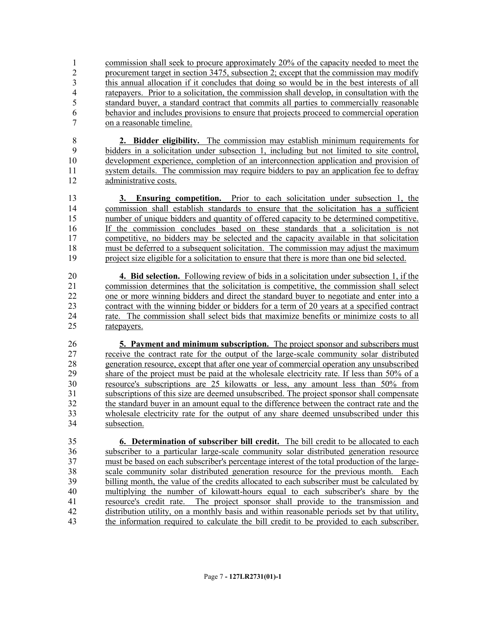1 commission shall seek to procure approximately 20% of the capacity needed to meet the procurement target in section 3475, subsection 2; except that the commission may modify this annual allocation if it concludes that doing so would be in the best interests of all ratepayers. Prior to a solicitation, the commission shall develop, in consultation with the standard buyer, a standard contract that commits all parties to commercially reasonable behavior and includes provisions to ensure that projects proceed to commercial operation on a reasonable timeline.

 **2. Bidder eligibility.** The commission may establish minimum requirements for bidders in a solicitation under subsection 1, including but not limited to site control, development experience, completion of an interconnection application and provision of system details. The commission may require bidders to pay an application fee to defray administrative costs.

 **3. Ensuring competition.** Prior to each solicitation under subsection 1, the commission shall establish standards to ensure that the solicitation has a sufficient number of unique bidders and quantity of offered capacity to be determined competitive. If the commission concludes based on these standards that a solicitation is not 17 competitive, no bidders may be selected and the capacity available in that solicitation must be deferred to a subsequent solicitation. The commission may adjust the maximum project size eligible for a solicitation to ensure that there is more than one bid selected.

 **4. Bid selection.** Following review of bids in a solicitation under subsection 1, if the commission determines that the solicitation is competitive, the commission shall select one or more winning bidders and direct the standard buyer to negotiate and enter into a contract with the winning bidder or bidders for a term of 20 years at a specified contract 24 rate. The commission shall select bids that maximize benefits or minimize costs to all ratepayers.

 **5. Payment and minimum subscription.** The project sponsor and subscribers must receive the contract rate for the output of the large-scale community solar distributed generation resource, except that after one year of commercial operation any unsubscribed share of the project must be paid at the wholesale electricity rate. If less than 50% of a resource's subscriptions are 25 kilowatts or less, any amount less than 50% from 31 subscriptions of this size are deemed unsubscribed. The project sponsor shall compensate<br>32 the standard buver in an amount equal to the difference between the contract rate and the the standard buyer in an amount equal to the difference between the contract rate and the wholesale electricity rate for the output of any share deemed unsubscribed under this subsection.

 **6. Determination of subscriber bill credit.** The bill credit to be allocated to each subscriber to a particular large-scale community solar distributed generation resource must be based on each subscriber's percentage interest of the total production of the large- scale community solar distributed generation resource for the previous month. Each billing month, the value of the credits allocated to each subscriber must be calculated by multiplying the number of kilowatt-hours equal to each subscriber's share by the resource's credit rate. The project sponsor shall provide to the transmission and distribution utility, on a monthly basis and within reasonable periods set by that utility, the information required to calculate the bill credit to be provided to each subscriber.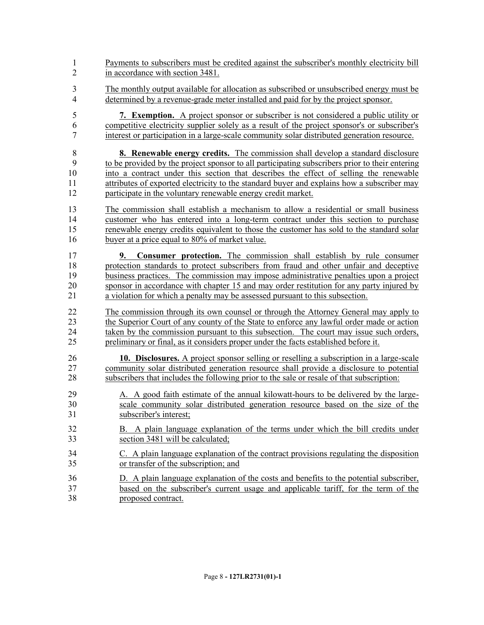| $\mathbf{1}$               | Payments to subscribers must be credited against the subscriber's monthly electricity bill                                                                                                                                                                                                                                                                                                                                                      |
|----------------------------|-------------------------------------------------------------------------------------------------------------------------------------------------------------------------------------------------------------------------------------------------------------------------------------------------------------------------------------------------------------------------------------------------------------------------------------------------|
| $\overline{2}$             | in accordance with section 3481.                                                                                                                                                                                                                                                                                                                                                                                                                |
| 3                          | The monthly output available for allocation as subscribed or unsubscribed energy must be                                                                                                                                                                                                                                                                                                                                                        |
| $\overline{4}$             | determined by a revenue-grade meter installed and paid for by the project sponsor.                                                                                                                                                                                                                                                                                                                                                              |
| 5                          | 7. Exemption. A project sponsor or subscriber is not considered a public utility or                                                                                                                                                                                                                                                                                                                                                             |
| 6                          | competitive electricity supplier solely as a result of the project sponsor's or subscriber's                                                                                                                                                                                                                                                                                                                                                    |
| 7                          | interest or participation in a large-scale community solar distributed generation resource.                                                                                                                                                                                                                                                                                                                                                     |
| 8                          | <b>8. Renewable energy credits.</b> The commission shall develop a standard disclosure                                                                                                                                                                                                                                                                                                                                                          |
| 9                          | to be provided by the project sponsor to all participating subscribers prior to their entering                                                                                                                                                                                                                                                                                                                                                  |
| 10                         | into a contract under this section that describes the effect of selling the renewable                                                                                                                                                                                                                                                                                                                                                           |
| 11                         | attributes of exported electricity to the standard buyer and explains how a subscriber may                                                                                                                                                                                                                                                                                                                                                      |
| 12                         | participate in the voluntary renewable energy credit market.                                                                                                                                                                                                                                                                                                                                                                                    |
| 13                         | The commission shall establish a mechanism to allow a residential or small business                                                                                                                                                                                                                                                                                                                                                             |
| 14                         | customer who has entered into a long-term contract under this section to purchase                                                                                                                                                                                                                                                                                                                                                               |
| 15                         | renewable energy credits equivalent to those the customer has sold to the standard solar                                                                                                                                                                                                                                                                                                                                                        |
| 16                         | buyer at a price equal to 80% of market value.                                                                                                                                                                                                                                                                                                                                                                                                  |
| 17<br>18<br>19<br>20<br>21 | Consumer protection. The commission shall establish by rule consumer<br>9.<br>protection standards to protect subscribers from fraud and other unfair and deceptive<br><u>business practices. The commission may impose administrative penalties upon a project</u><br>sponsor in accordance with chapter 15 and may order restitution for any party injured by<br>a violation for which a penalty may be assessed pursuant to this subsection. |
| 22                         | The commission through its own counsel or through the Attorney General may apply to                                                                                                                                                                                                                                                                                                                                                             |
| 23                         | the Superior Court of any county of the State to enforce any lawful order made or action                                                                                                                                                                                                                                                                                                                                                        |
| 24                         | taken by the commission pursuant to this subsection. The court may issue such orders,                                                                                                                                                                                                                                                                                                                                                           |
| 25                         | preliminary or final, as it considers proper under the facts established before it.                                                                                                                                                                                                                                                                                                                                                             |
| 26                         | 10. Disclosures. A project sponsor selling or reselling a subscription in a large-scale                                                                                                                                                                                                                                                                                                                                                         |
| 27                         | community solar distributed generation resource shall provide a disclosure to potential                                                                                                                                                                                                                                                                                                                                                         |
| 28                         | subscribers that includes the following prior to the sale or resale of that subscription:                                                                                                                                                                                                                                                                                                                                                       |
| 29                         | A. A good faith estimate of the annual kilowatt-hours to be delivered by the large-                                                                                                                                                                                                                                                                                                                                                             |
| 30                         | scale community solar distributed generation resource based on the size of the                                                                                                                                                                                                                                                                                                                                                                  |
| 31                         | subscriber's interest;                                                                                                                                                                                                                                                                                                                                                                                                                          |
| 32                         | B. A plain language explanation of the terms under which the bill credits under                                                                                                                                                                                                                                                                                                                                                                 |
| 33                         | section 3481 will be calculated;                                                                                                                                                                                                                                                                                                                                                                                                                |
| 34                         | C. A plain language explanation of the contract provisions regulating the disposition                                                                                                                                                                                                                                                                                                                                                           |
| 35                         | or transfer of the subscription; and                                                                                                                                                                                                                                                                                                                                                                                                            |
| 36                         | D. A plain language explanation of the costs and benefits to the potential subscriber,                                                                                                                                                                                                                                                                                                                                                          |
| 37                         | based on the subscriber's current usage and applicable tariff, for the term of the                                                                                                                                                                                                                                                                                                                                                              |
| 38                         | proposed contract.                                                                                                                                                                                                                                                                                                                                                                                                                              |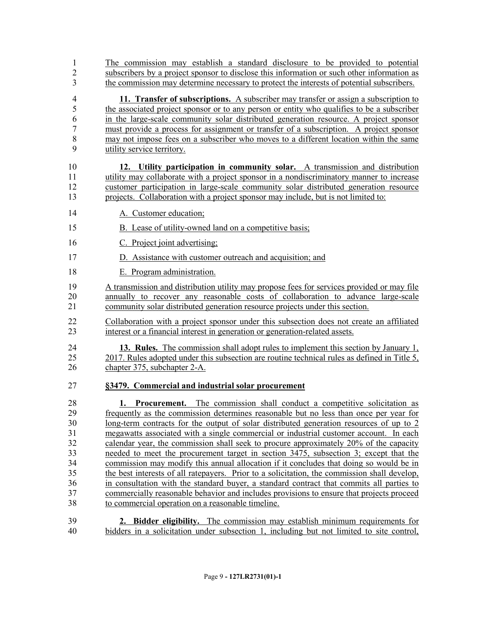| 1              | The commission may establish a standard disclosure to be provided to potential                                                                                             |
|----------------|----------------------------------------------------------------------------------------------------------------------------------------------------------------------------|
| $\overline{2}$ | subscribers by a project sponsor to disclose this information or such other information as                                                                                 |
| 3              | the commission may determine necessary to protect the interests of potential subscribers.                                                                                  |
| $\overline{4}$ | 11. Transfer of subscriptions. A subscriber may transfer or assign a subscription to                                                                                       |
| 5              | the associated project sponsor or to any person or entity who qualifies to be a subscriber                                                                                 |
| 6              | in the large-scale community solar distributed generation resource. A project sponsor                                                                                      |
| $\overline{7}$ | must provide a process for assignment or transfer of a subscription. A project sponsor                                                                                     |
| $\,8\,$        | may not impose fees on a subscriber who moves to a different location within the same                                                                                      |
| 9              | utility service territory.                                                                                                                                                 |
| 10             | 12. Utility participation in community solar. A transmission and distribution                                                                                              |
| 11             | utility may collaborate with a project sponsor in a nondiscriminatory manner to increase                                                                                   |
| 12             | customer participation in large-scale community solar distributed generation resource                                                                                      |
| 13             | projects. Collaboration with a project sponsor may include, but is not limited to:                                                                                         |
| 14             | A. Customer education;                                                                                                                                                     |
| 15             | B. Lease of utility-owned land on a competitive basis;                                                                                                                     |
| 16             | C. Project joint advertising;                                                                                                                                              |
| 17             | D. Assistance with customer outreach and acquisition; and                                                                                                                  |
| 18             | E. Program administration.                                                                                                                                                 |
| 19             | A transmission and distribution utility may propose fees for services provided or may file                                                                                 |
| 20             | annually to recover any reasonable costs of collaboration to advance large-scale                                                                                           |
| 21             | community solar distributed generation resource projects under this section.                                                                                               |
| 22             | Collaboration with a project sponsor under this subsection does not create an affiliated                                                                                   |
| 23             | interest or a financial interest in generation or generation-related assets.                                                                                               |
| 24             | <b>13. Rules.</b> The commission shall adopt rules to implement this section by January 1,                                                                                 |
| 25             | 2017. Rules adopted under this subsection are routine technical rules as defined in Title 5,                                                                               |
| 26             | chapter 375, subchapter 2-A.                                                                                                                                               |
| 27             | §3479. Commercial and industrial solar procurement                                                                                                                         |
| 28             |                                                                                                                                                                            |
| 29             | <b>1. Procurement.</b> The commission shall conduct a competitive solicitation as<br>frequently as the commission determines reasonable but no less than once per year for |
| 30             | <u>long-term contracts for the output of solar distributed generation resources of up to 2</u>                                                                             |
| 31             | megawatts associated with a single commercial or industrial customer account. In each                                                                                      |
| 32             | calendar year, the commission shall seek to procure approximately 20% of the capacity                                                                                      |
| 33             | needed to meet the procurement target in section 3475, subsection 3; except that the                                                                                       |
| 34             | commission may modify this annual allocation if it concludes that doing so would be in                                                                                     |
| 35             | the best interests of all ratepayers. Prior to a solicitation, the commission shall develop,                                                                               |
| 36             | in consultation with the standard buyer, a standard contract that commits all parties to                                                                                   |
| 37             | commercially reasonable behavior and includes provisions to ensure that projects proceed                                                                                   |
| 38             | to commercial operation on a reasonable timeline.                                                                                                                          |
| 39             | 2. Bidder eligibility. The commission may establish minimum requirements for                                                                                               |
| 40             | bidders in a solicitation under subsection 1, including but not limited to site control,                                                                                   |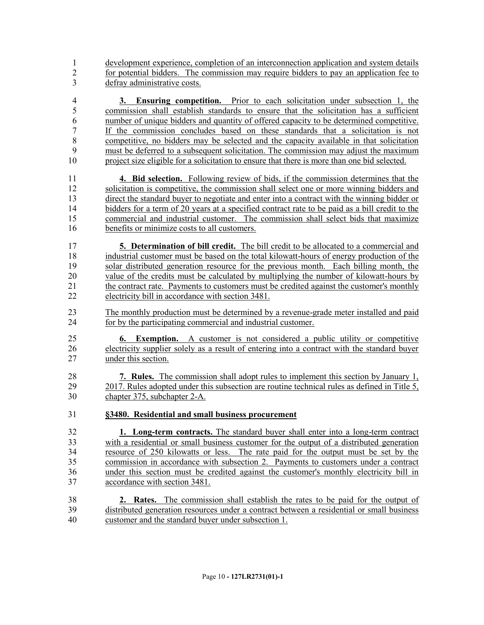development experience, completion of an interconnection application and system details for potential bidders. The commission may require bidders to pay an application fee to defray administrative costs.

 **3. Ensuring competition.** Prior to each solicitation under subsection 1, the commission shall establish standards to ensure that the solicitation has a sufficient number of unique bidders and quantity of offered capacity to be determined competitive. If the commission concludes based on these standards that a solicitation is not competitive, no bidders may be selected and the capacity available in that solicitation must be deferred to a subsequent solicitation. The commission may adjust the maximum project size eligible for a solicitation to ensure that there is more than one bid selected.

 **4. Bid selection.** Following review of bids, if the commission determines that the solicitation is competitive, the commission shall select one or more winning bidders and direct the standard buyer to negotiate and enter into a contract with the winning bidder or bidders for a term of 20 years at a specified contract rate to be paid as a bill credit to the commercial and industrial customer. The commission shall select bids that maximize benefits or minimize costs to all customers.

 **5. Determination of bill credit.** The bill credit to be allocated to a commercial and industrial customer must be based on the total kilowatt-hours of energy production of the solar distributed generation resource for the previous month. Each billing month, the value of the credits must be calculated by multiplying the number of kilowatt-hours by the contract rate. Payments to customers must be credited against the customer's monthly electricity bill in accordance with section 3481.

 The monthly production must be determined by a revenue-grade meter installed and paid for by the participating commercial and industrial customer.

 **6. Exemption.** A customer is not considered a public utility or competitive electricity supplier solely as a result of entering into a contract with the standard buyer under this section.

 **7. Rules.** The commission shall adopt rules to implement this section by January 1, 2017. Rules adopted under this subsection are routine technical rules as defined in Title 5, chapter 375, subchapter 2-A.

**§3480. Residential and small business procurement**

 **1. Long-term contracts.** The standard buyer shall enter into a long-term contract with a residential or small business customer for the output of a distributed generation resource of 250 kilowatts or less. The rate paid for the output must be set by the commission in accordance with subsection 2. Payments to customers under a contract under this section must be credited against the customer's monthly electricity bill in accordance with section 3481.

 **2. Rates.** The commission shall establish the rates to be paid for the output of distributed generation resources under a contract between a residential or small business customer and the standard buyer under subsection 1.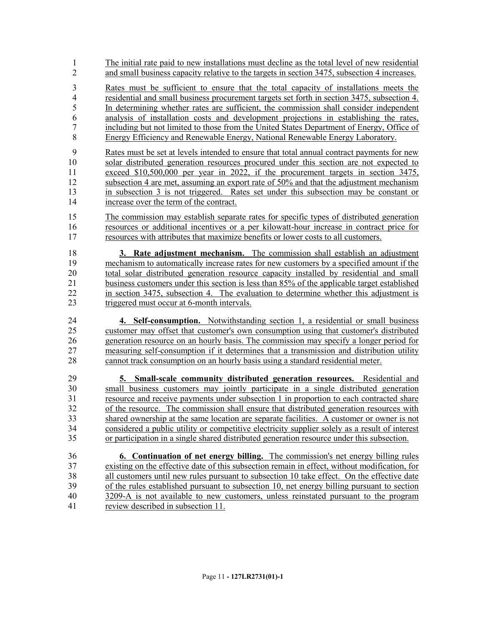The initial rate paid to new installations must decline as the total level of new residential and small business capacity relative to the targets in section 3475, subsection 4 increases. Rates must be sufficient to ensure that the total capacity of installations meets the residential and small business procurement targets set forth in section 3475, subsection 4. In determining whether rates are sufficient, the commission shall consider independent analysis of installation costs and development projections in establishing the rates, including but not limited to those from the United States Department of Energy, Office of Energy Efficiency and Renewable Energy, National Renewable Energy Laboratory. Rates must be set at levels intended to ensure that total annual contract payments for new

 solar distributed generation resources procured under this section are not expected to exceed \$10,500,000 per year in 2022, if the procurement targets in section 3475, 12 subsection 4 are met, assuming an export rate of 50% and that the adjustment mechanism in subsection 3 is not triggered. Rates set under this subsection may be constant or increase over the term of the contract.

 The commission may establish separate rates for specific types of distributed generation resources or additional incentives or a per kilowatt-hour increase in contract price for resources with attributes that maximize benefits or lower costs to all customers.

 **3. Rate adjustment mechanism.** The commission shall establish an adjustment mechanism to automatically increase rates for new customers by a specified amount if the 20 total solar distributed generation resource capacity installed by residential and small<br>21 business customers under this section is less than 85% of the applicable target established business customers under this section is less than 85% of the applicable target established in section 3475, subsection 4. The evaluation to determine whether this adjustment is triggered must occur at 6-month intervals.

 **4. Self-consumption.** Notwithstanding section 1, a residential or small business customer may offset that customer's own consumption using that customer's distributed generation resource on an hourly basis. The commission may specify a longer period for measuring self-consumption if it determines that a transmission and distribution utility cannot track consumption on an hourly basis using a standard residential meter.

 **5. Small-scale community distributed generation resources.** Residential and small business customers may jointly participate in a single distributed generation 31 resource and receive payments under subsection 1 in proportion to each contracted share<br>32 of the resource. The commission shall ensure that distributed generation resources with of the resource. The commission shall ensure that distributed generation resources with shared ownership at the same location are separate facilities. A customer or owner is not considered a public utility or competitive electricity supplier solely as a result of interest or participation in a single shared distributed generation resource under this subsection.

 **6. Continuation of net energy billing.** The commission's net energy billing rules existing on the effective date of this subsection remain in effect, without modification, for all customers until new rules pursuant to subsection 10 take effect. On the effective date of the rules established pursuant to subsection 10, net energy billing pursuant to section 3209-A is not available to new customers, unless reinstated pursuant to the program review described in subsection 11.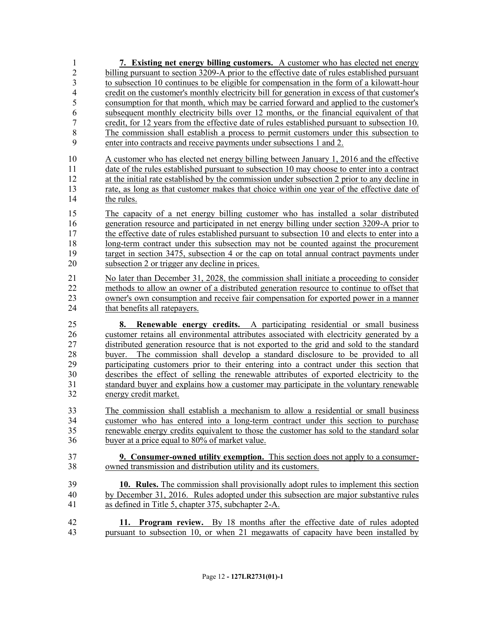**7. Existing net energy billing customers.** A customer who has elected net energy billing pursuant to section 3209-A prior to the effective date of rules established pursuant to subsection 10 continues to be eligible for compensation in the form of a kilowatt-hour credit on the customer's monthly electricity bill for generation in excess of that customer's consumption for that month, which may be carried forward and applied to the customer's subsequent monthly electricity bills over 12 months, or the financial equivalent of that credit, for 12 years from the effective date of rules established pursuant to subsection 10. The commission shall establish a process to permit customers under this subsection to enter into contracts and receive payments under subsections 1 and 2. A customer who has elected net energy billing between January 1, 2016 and the effective date of the rules established pursuant to subsection 10 may choose to enter into a contract at the initial rate established by the commission under subsection 2 prior to any decline in rate, as long as that customer makes that choice within one year of the effective date of the rules. The capacity of a net energy billing customer who has installed a solar distributed generation resource and participated in net energy billing under section 3209-A prior to 17 the effective date of rules established pursuant to subsection 10 and elects to enter into a long-term contract under this subsection may not be counted against the procurement target in section 3475, subsection 4 or the cap on total annual contract payments under subsection 2 or trigger any decline in prices. No later than December 31, 2028, the commission shall initiate a proceeding to consider methods to allow an owner of a distributed generation resource to continue to offset that owner's own consumption and receive fair compensation for exported power in a manner 24 that benefits all ratepayers. **8. Renewable energy credits.** A participating residential or small business customer retains all environmental attributes associated with electricity generated by a distributed generation resource that is not exported to the grid and sold to the standard buyer. The commission shall develop a standard disclosure to be provided to all participating customers prior to their entering into a contract under this section that describes the effect of selling the renewable attributes of exported electricity to the standard buyer and explains how a customer may participate in the voluntary renewable energy credit market. The commission shall establish a mechanism to allow a residential or small business customer who has entered into a long-term contract under this section to purchase renewable energy credits equivalent to those the customer has sold to the standard solar buyer at a price equal to 80% of market value. **9. Consumer-owned utility exemption.** This section does not apply to a consumer- owned transmission and distribution utility and its customers. **10. Rules.** The commission shall provisionally adopt rules to implement this section by December 31, 2016. Rules adopted under this subsection are major substantive rules as defined in Title 5, chapter 375, subchapter 2-A. **11. Program review.** By 18 months after the effective date of rules adopted pursuant to subsection 10, or when 21 megawatts of capacity have been installed by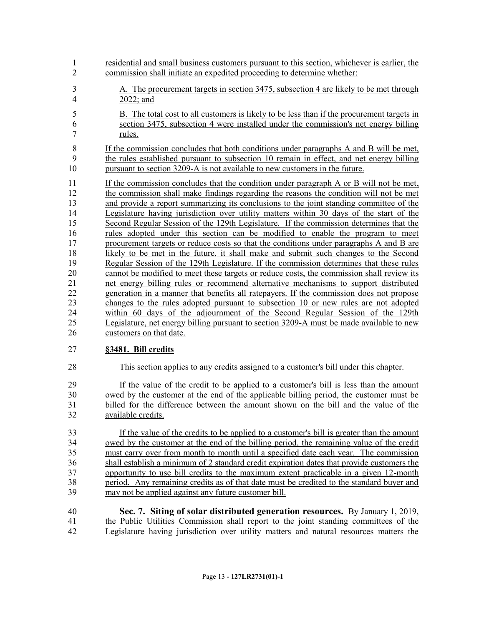- residential and small business customers pursuant to this section, whichever is earlier, the commission shall initiate an expedited proceeding to determine whether: A. The procurement targets in section 3475, subsection 4 are likely to be met through 2022; and B. The total cost to all customers is likely to be less than if the procurement targets in section 3475, subsection 4 were installed under the commission's net energy billing rules. If the commission concludes that both conditions under paragraphs A and B will be met, the rules established pursuant to subsection 10 remain in effect, and net energy billing 10 pursuant to section 3209-A is not available to new customers in the future. If the commission concludes that the condition under paragraph A or B will not be met, the commission shall make findings regarding the reasons the condition will not be met and provide a report summarizing its conclusions to the joint standing committee of the Legislature having jurisdiction over utility matters within 30 days of the start of the Second Regular Session of the 129th Legislature. If the commission determines that the rules adopted under this section can be modified to enable the program to meet procurement targets or reduce costs so that the conditions under paragraphs A and B are likely to be met in the future, it shall make and submit such changes to the Second Regular Session of the 129th Legislature. If the commission determines that these rules 20 cannot be modified to meet these targets or reduce costs, the commission shall review its net energy billing rules or recommend alternative mechanisms to support distributed net energy billing rules or recommend alternative mechanisms to support distributed generation in a manner that benefits all ratepayers. If the commission does not propose changes to the rules adopted pursuant to subsection 10 or new rules are not adopted within 60 days of the adjournment of the Second Regular Session of the 129th Legislature, net energy billing pursuant to section 3209-A must be made available to new customers on that date. **§3481. Bill credits** This section applies to any credits assigned to a customer's bill under this chapter. If the value of the credit to be applied to a customer's bill is less than the amount owed by the customer at the end of the applicable billing period, the customer must be billed for the difference between the amount shown on the bill and the value of the
- available credits.

 If the value of the credits to be applied to a customer's bill is greater than the amount owed by the customer at the end of the billing period, the remaining value of the credit must carry over from month to month until a specified date each year. The commission shall establish a minimum of 2 standard credit expiration dates that provide customers the opportunity to use bill credits to the maximum extent practicable in a given 12-month period. Any remaining credits as of that date must be credited to the standard buyer and may not be applied against any future customer bill.

 **Sec. 7. Siting of solar distributed generation resources.** By January 1, 2019, the Public Utilities Commission shall report to the joint standing committees of the Legislature having jurisdiction over utility matters and natural resources matters the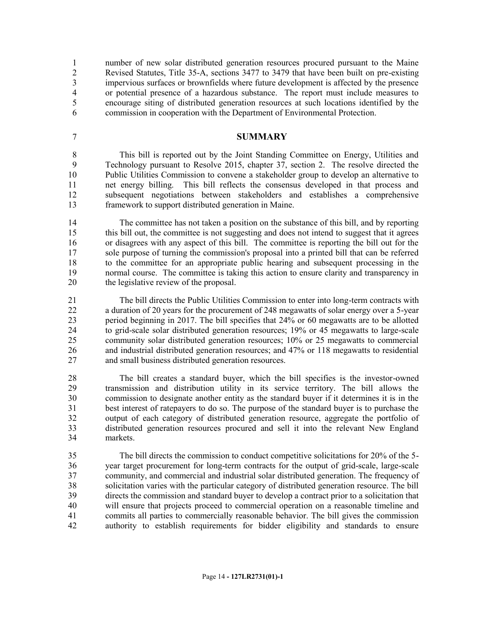number of new solar distributed generation resources procured pursuant to the Maine Revised Statutes, Title 35-A, sections 3477 to 3479 that have been built on pre-existing impervious surfaces or brownfields where future development is affected by the presence or potential presence of a hazardous substance. The report must include measures to encourage siting of distributed generation resources at such locations identified by the commission in cooperation with the Department of Environmental Protection.

#### **SUMMARY**

 This bill is reported out by the Joint Standing Committee on Energy, Utilities and Technology pursuant to Resolve 2015, chapter 37, section 2. The resolve directed the Public Utilities Commission to convene a stakeholder group to develop an alternative to net energy billing. This bill reflects the consensus developed in that process and subsequent negotiations between stakeholders and establishes a comprehensive framework to support distributed generation in Maine.

 The committee has not taken a position on the substance of this bill, and by reporting this bill out, the committee is not suggesting and does not intend to suggest that it agrees or disagrees with any aspect of this bill. The committee is reporting the bill out for the sole purpose of turning the commission's proposal into a printed bill that can be referred to the committee for an appropriate public hearing and subsequent processing in the normal course. The committee is taking this action to ensure clarity and transparency in the legislative review of the proposal.

 The bill directs the Public Utilities Commission to enter into long-term contracts with a duration of 20 years for the procurement of 248 megawatts of solar energy over a 5-year period beginning in 2017. The bill specifies that 24% or 60 megawatts are to be allotted to grid-scale solar distributed generation resources; 19% or 45 megawatts to large-scale community solar distributed generation resources; 10% or 25 megawatts to commercial and industrial distributed generation resources; and 47% or 118 megawatts to residential and small business distributed generation resources.

 The bill creates a standard buyer, which the bill specifies is the investor-owned transmission and distribution utility in its service territory. The bill allows the commission to designate another entity as the standard buyer if it determines it is in the best interest of ratepayers to do so. The purpose of the standard buyer is to purchase the output of each category of distributed generation resource, aggregate the portfolio of distributed generation resources procured and sell it into the relevant New England markets.

 The bill directs the commission to conduct competitive solicitations for 20% of the 5- year target procurement for long-term contracts for the output of grid-scale, large-scale community, and commercial and industrial solar distributed generation. The frequency of solicitation varies with the particular category of distributed generation resource. The bill directs the commission and standard buyer to develop a contract prior to a solicitation that will ensure that projects proceed to commercial operation on a reasonable timeline and commits all parties to commercially reasonable behavior. The bill gives the commission authority to establish requirements for bidder eligibility and standards to ensure